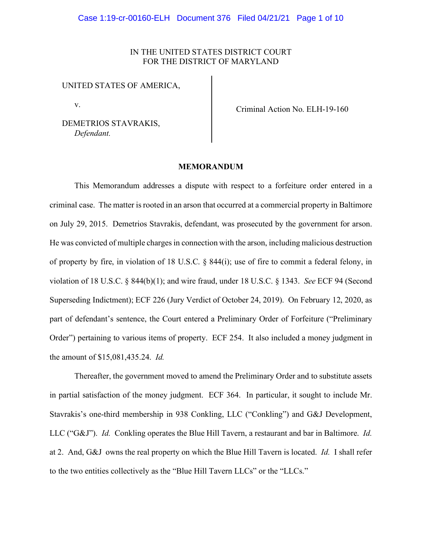# IN THE UNITED STATES DISTRICT COURT FOR THE DISTRICT OF MARYLAND

#### UNITED STATES OF AMERICA,

v.

DEMETRIOS STAVRAKIS, *Defendant.*

Criminal Action No. ELH-19-160

#### **MEMORANDUM**

This Memorandum addresses a dispute with respect to a forfeiture order entered in a criminal case. The matter is rooted in an arson that occurred at a commercial property in Baltimore on July 29, 2015. Demetrios Stavrakis, defendant, was prosecuted by the government for arson. He was convicted of multiple charges in connection with the arson, including malicious destruction of property by fire, in violation of 18 U.S.C. § 844(i); use of fire to commit a federal felony, in violation of 18 U.S.C. § 844(b)(1); and wire fraud, under 18 U.S.C. § 1343. *See* ECF 94 (Second Superseding Indictment); ECF 226 (Jury Verdict of October 24, 2019). On February 12, 2020, as part of defendant's sentence, the Court entered a Preliminary Order of Forfeiture ("Preliminary Order") pertaining to various items of property. ECF 254. It also included a money judgment in the amount of \$15,081,435.24. *Id.*

Thereafter, the government moved to amend the Preliminary Order and to substitute assets in partial satisfaction of the money judgment. ECF 364. In particular, it sought to include Mr. Stavrakis's one-third membership in 938 Conkling, LLC ("Conkling") and G&J Development, LLC ("G&J"). *Id.* Conkling operates the Blue Hill Tavern, a restaurant and bar in Baltimore. *Id.* at 2. And, G&J owns the real property on which the Blue Hill Tavern is located. *Id.* I shall refer to the two entities collectively as the "Blue Hill Tavern LLCs" or the "LLCs."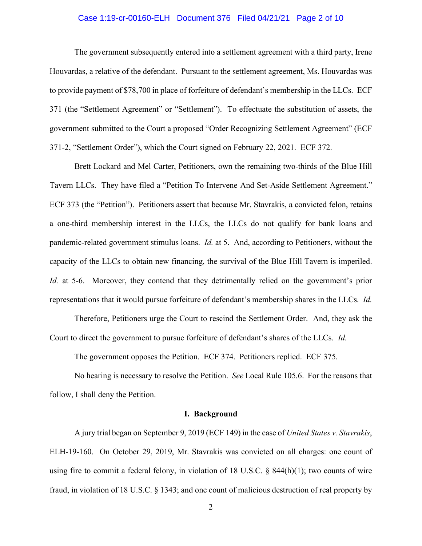## Case 1:19-cr-00160-ELH Document 376 Filed 04/21/21 Page 2 of 10

The government subsequently entered into a settlement agreement with a third party, Irene Houvardas, a relative of the defendant. Pursuant to the settlement agreement, Ms. Houvardas was to provide payment of \$78,700 in place of forfeiture of defendant's membership in the LLCs. ECF 371 (the "Settlement Agreement" or "Settlement"). To effectuate the substitution of assets, the government submitted to the Court a proposed "Order Recognizing Settlement Agreement" (ECF 371-2, "Settlement Order"), which the Court signed on February 22, 2021. ECF 372.

Brett Lockard and Mel Carter, Petitioners, own the remaining two-thirds of the Blue Hill Tavern LLCs. They have filed a "Petition To Intervene And Set-Aside Settlement Agreement." ECF 373 (the "Petition"). Petitioners assert that because Mr. Stavrakis, a convicted felon, retains a one-third membership interest in the LLCs, the LLCs do not qualify for bank loans and pandemic-related government stimulus loans. *Id.* at 5. And, according to Petitioners, without the capacity of the LLCs to obtain new financing, the survival of the Blue Hill Tavern is imperiled. *Id.* at 5-6. Moreover, they contend that they detrimentally relied on the government's prior representations that it would pursue forfeiture of defendant's membership shares in the LLCs. *Id.*

Therefore, Petitioners urge the Court to rescind the Settlement Order. And, they ask the Court to direct the government to pursue forfeiture of defendant's shares of the LLCs. *Id.*

The government opposes the Petition. ECF 374. Petitioners replied. ECF 375.

No hearing is necessary to resolve the Petition. *See* Local Rule 105.6. For the reasons that follow, I shall deny the Petition.

#### **I. Background**

A jury trial began on September 9, 2019 (ECF 149) in the case of *United States v. Stavrakis*, ELH-19-160. On October 29, 2019, Mr. Stavrakis was convicted on all charges: one count of using fire to commit a federal felony, in violation of 18 U.S.C.  $\S$  844(h)(1); two counts of wire fraud, in violation of 18 U.S.C. § 1343; and one count of malicious destruction of real property by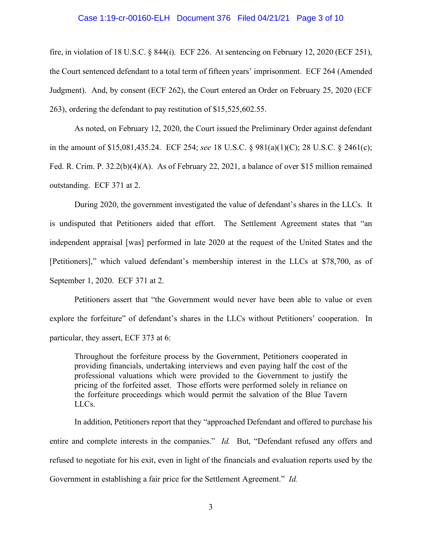#### Case 1:19-cr-00160-ELH Document 376 Filed 04/21/21 Page 3 of 10

fire, in violation of 18 U.S.C. § 844(i). ECF 226. At sentencing on February 12, 2020 (ECF 251), the Court sentenced defendant to a total term of fifteen years' imprisonment. ECF 264 (Amended Judgment). And, by consent (ECF 262), the Court entered an Order on February 25, 2020 (ECF 263), ordering the defendant to pay restitution of \$15,525,602.55.

As noted, on February 12, 2020, the Court issued the Preliminary Order against defendant in the amount of \$15,081,435.24. ECF 254; *see* 18 U.S.C. § 981(a)(1)(C); 28 U.S.C. § 2461(c); Fed. R. Crim. P. 32.2(b)(4)(A). As of February 22, 2021, a balance of over \$15 million remained outstanding. ECF 371 at 2.

During 2020, the government investigated the value of defendant's shares in the LLCs. It is undisputed that Petitioners aided that effort. The Settlement Agreement states that "an independent appraisal [was] performed in late 2020 at the request of the United States and the [Petitioners]," which valued defendant's membership interest in the LLCs at \$78,700, as of September 1, 2020. ECF 371 at 2.

Petitioners assert that "the Government would never have been able to value or even explore the forfeiture" of defendant's shares in the LLCs without Petitioners' cooperation. In particular, they assert, ECF 373 at 6:

Throughout the forfeiture process by the Government, Petitioners cooperated in providing financials, undertaking interviews and even paying half the cost of the professional valuations which were provided to the Government to justify the pricing of the forfeited asset. Those efforts were performed solely in reliance on the forfeiture proceedings which would permit the salvation of the Blue Tavern LLCs.

In addition, Petitioners report that they "approached Defendant and offered to purchase his entire and complete interests in the companies." *Id.* But, "Defendant refused any offers and refused to negotiate for his exit, even in light of the financials and evaluation reports used by the Government in establishing a fair price for the Settlement Agreement." *Id.*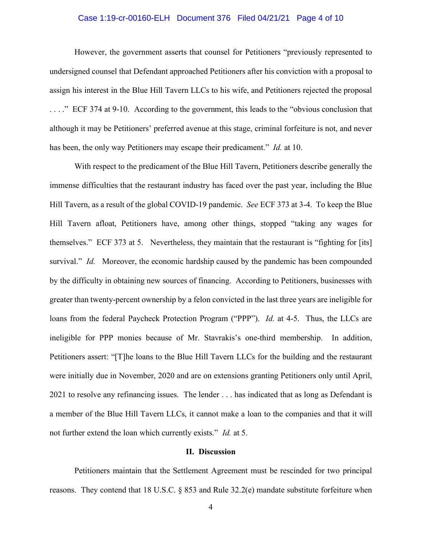## Case 1:19-cr-00160-ELH Document 376 Filed 04/21/21 Page 4 of 10

However, the government asserts that counsel for Petitioners "previously represented to undersigned counsel that Defendant approached Petitioners after his conviction with a proposal to assign his interest in the Blue Hill Tavern LLCs to his wife, and Petitioners rejected the proposal . . . ." ECF 374 at 9-10. According to the government, this leads to the "obvious conclusion that although it may be Petitioners' preferred avenue at this stage, criminal forfeiture is not, and never has been, the only way Petitioners may escape their predicament." *Id.* at 10.

With respect to the predicament of the Blue Hill Tavern, Petitioners describe generally the immense difficulties that the restaurant industry has faced over the past year, including the Blue Hill Tavern, as a result of the global COVID-19 pandemic. *See* ECF 373 at 3-4. To keep the Blue Hill Tavern afloat, Petitioners have, among other things, stopped "taking any wages for themselves." ECF 373 at 5. Nevertheless, they maintain that the restaurant is "fighting for [its] survival." *Id.* Moreover, the economic hardship caused by the pandemic has been compounded by the difficulty in obtaining new sources of financing. According to Petitioners, businesses with greater than twenty-percent ownership by a felon convicted in the last three years are ineligible for loans from the federal Paycheck Protection Program ("PPP"). *Id.* at 4-5. Thus, the LLCs are ineligible for PPP monies because of Mr. Stavrakis's one-third membership. In addition, Petitioners assert: "[T]he loans to the Blue Hill Tavern LLCs for the building and the restaurant were initially due in November, 2020 and are on extensions granting Petitioners only until April, 2021 to resolve any refinancing issues. The lender . . . has indicated that as long as Defendant is a member of the Blue Hill Tavern LLCs, it cannot make a loan to the companies and that it will not further extend the loan which currently exists." *Id.* at 5.

# **II. Discussion**

Petitioners maintain that the Settlement Agreement must be rescinded for two principal reasons. They contend that 18 U.S.C. § 853 and Rule 32.2(e) mandate substitute forfeiture when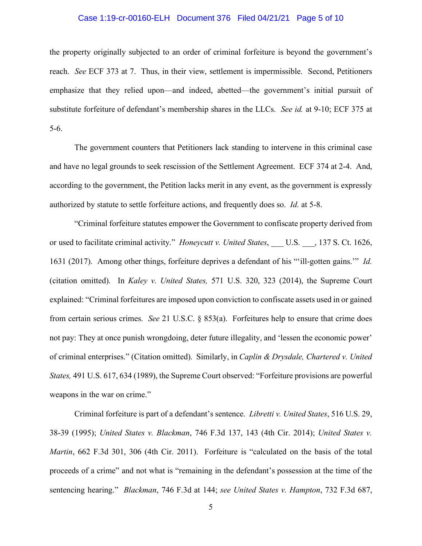## Case 1:19-cr-00160-ELH Document 376 Filed 04/21/21 Page 5 of 10

the property originally subjected to an order of criminal forfeiture is beyond the government's reach. *See* ECF 373 at 7. Thus, in their view, settlement is impermissible. Second, Petitioners emphasize that they relied upon—and indeed, abetted—the government's initial pursuit of substitute forfeiture of defendant's membership shares in the LLCs. *See id.* at 9-10; ECF 375 at 5-6.

The government counters that Petitioners lack standing to intervene in this criminal case and have no legal grounds to seek rescission of the Settlement Agreement. ECF 374 at 2-4. And, according to the government, the Petition lacks merit in any event, as the government is expressly authorized by statute to settle forfeiture actions, and frequently does so. *Id.* at 5-8.

"Criminal forfeiture statutes empower the Government to confiscate property derived from or used to facilitate criminal activity." *Honeycutt v. United States*, \_\_\_ U.S. \_\_\_, 137 S. Ct. 1626, 1631 (2017). Among other things, forfeiture deprives a defendant of his "'ill-gotten gains.'" *Id.* (citation omitted). In *Kaley v. United States,* 571 U.S. 320, 323 (2014), the Supreme Court explained: "Criminal forfeitures are imposed upon conviction to confiscate assets used in or gained from certain serious crimes. *See* 21 U.S.C. § 853(a). Forfeitures help to ensure that crime does not pay: They at once punish wrongdoing, deter future illegality, and 'lessen the economic power' of criminal enterprises." (Citation omitted). Similarly, in *Caplin & Drysdale, Chartered v. United States,* 491 U.S. 617, 634 (1989), the Supreme Court observed: "Forfeiture provisions are powerful weapons in the war on crime."

Criminal forfeiture is part of a defendant's sentence. *Libretti v. United States*, 516 U.S. 29, 38-39 (1995); *United States v. Blackman*, 746 F.3d 137, 143 (4th Cir. 2014); *United States v. Martin*, 662 F.3d 301, 306 (4th Cir. 2011). Forfeiture is "calculated on the basis of the total proceeds of a crime" and not what is "remaining in the defendant's possession at the time of the sentencing hearing." *Blackman*, 746 F.3d at 144; *see United States v. Hampton*, 732 F.3d 687,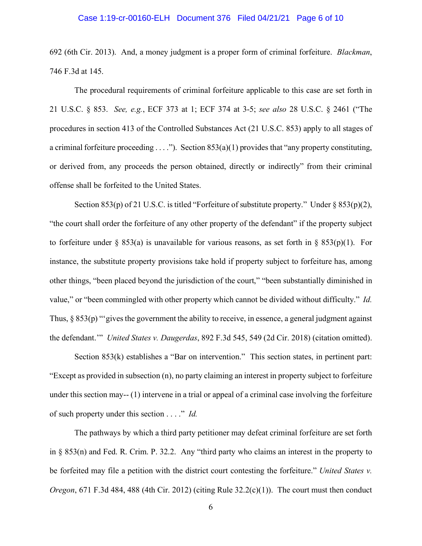#### Case 1:19-cr-00160-ELH Document 376 Filed 04/21/21 Page 6 of 10

692 (6th Cir. 2013). And, a money judgment is a proper form of criminal forfeiture. *Blackman*, 746 F.3d at 145.

The procedural requirements of criminal forfeiture applicable to this case are set forth in 21 U.S.C. § 853. *See, e.g.*, ECF 373 at 1; ECF 374 at 3-5; *see also* 28 U.S.C. § 2461 ("The procedures in section 413 of the Controlled Substances Act (21 U.S.C. 853) apply to all stages of a criminal forfeiture proceeding  $\dots$ "). Section 853(a)(1) provides that "any property constituting, or derived from, any proceeds the person obtained, directly or indirectly" from their criminal offense shall be forfeited to the United States.

Section 853(p) of 21 U.S.C. is titled "Forfeiture of substitute property." Under § 853(p)(2), "the court shall order the forfeiture of any other property of the defendant" if the property subject to forfeiture under § 853(a) is unavailable for various reasons, as set forth in § 853(p)(1). For instance, the substitute property provisions take hold if property subject to forfeiture has, among other things, "been placed beyond the jurisdiction of the court," "been substantially diminished in value," or "been commingled with other property which cannot be divided without difficulty." *Id.* Thus, § 853(p) "'gives the government the ability to receive, in essence, a general judgment against the defendant.'" *United States v. Daugerdas*, 892 F.3d 545, 549 (2d Cir. 2018) (citation omitted).

Section 853(k) establishes a "Bar on intervention." This section states, in pertinent part: "Except as provided in subsection (n), no party claiming an interest in property subject to forfeiture under this section may-- (1) intervene in a trial or appeal of a criminal case involving the forfeiture of such property under this section . . . ." *Id.*

The pathways by which a third party petitioner may defeat criminal forfeiture are set forth in § 853(n) and Fed. R. Crim. P. 32.2. Any "third party who claims an interest in the property to be forfeited may file a petition with the district court contesting the forfeiture." *United States v. Oregon*, 671 F.3d 484, 488 (4th Cir. 2012) (citing Rule  $32.2(c)(1)$ ). The court must then conduct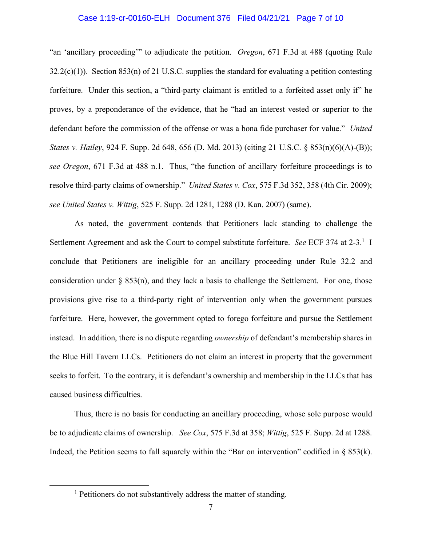## Case 1:19-cr-00160-ELH Document 376 Filed 04/21/21 Page 7 of 10

"an 'ancillary proceeding'" to adjudicate the petition. *Oregon*, 671 F.3d at 488 (quoting Rule 32.2(c)(1))*.* Section 853(n) of 21 U.S.C. supplies the standard for evaluating a petition contesting forfeiture. Under this section, a "third-party claimant is entitled to a forfeited asset only if" he proves, by a preponderance of the evidence, that he "had an interest vested or superior to the defendant before the commission of the offense or was a bona fide purchaser for value." *United States v. Hailey*, 924 F. Supp. 2d 648, 656 (D. Md. 2013) (citing 21 U.S.C. § 853(n)(6)(A)-(B)); *see Oregon*, 671 F.3d at 488 n.1. Thus, "the function of ancillary forfeiture proceedings is to resolve third-party claims of ownership." *United States v. Cox*, 575 F.3d 352, 358 (4th Cir. 2009); *see United States v. Wittig*, 525 F. Supp. 2d 1281, 1288 (D. Kan. 2007) (same).

As noted, the government contends that Petitioners lack standing to challenge the Settlement Agreement and ask the Court to compel substitute forfeiture. *See* ECF 374 at 2-3.1 I conclude that Petitioners are ineligible for an ancillary proceeding under Rule 32.2 and consideration under  $\S$  853(n), and they lack a basis to challenge the Settlement. For one, those provisions give rise to a third-party right of intervention only when the government pursues forfeiture. Here, however, the government opted to forego forfeiture and pursue the Settlement instead. In addition, there is no dispute regarding *ownership* of defendant's membership shares in the Blue Hill Tavern LLCs. Petitioners do not claim an interest in property that the government seeks to forfeit. To the contrary, it is defendant's ownership and membership in the LLCs that has caused business difficulties.

Thus, there is no basis for conducting an ancillary proceeding, whose sole purpose would be to adjudicate claims of ownership. *See Cox*, 575 F.3d at 358; *Wittig*, 525 F. Supp. 2d at 1288. Indeed, the Petition seems to fall squarely within the "Bar on intervention" codified in  $\S$  853(k).

<sup>&</sup>lt;sup>1</sup> Petitioners do not substantively address the matter of standing.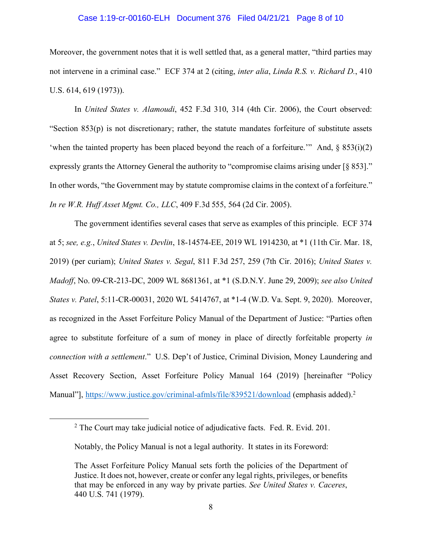#### Case 1:19-cr-00160-ELH Document 376 Filed 04/21/21 Page 8 of 10

Moreover, the government notes that it is well settled that, as a general matter, "third parties may not intervene in a criminal case." ECF 374 at 2 (citing, *inter alia*, *Linda R.S. v. Richard D.*, 410 U.S. 614, 619 (1973)).

In *United States v. Alamoudi*, 452 F.3d 310, 314 (4th Cir. 2006), the Court observed: "Section 853(p) is not discretionary; rather, the statute mandates forfeiture of substitute assets 'when the tainted property has been placed beyond the reach of a forfeiture.'" And,  $\S$  853(i)(2) expressly grants the Attorney General the authority to "compromise claims arising under [§ 853]." In other words, "the Government may by statute compromise claims in the context of a forfeiture." *In re W.R. Huff Asset Mgmt. Co., LLC*, 409 F.3d 555, 564 (2d Cir. 2005).

The government identifies several cases that serve as examples of this principle. ECF 374 at 5; *see, e.g.*, *United States v. Devlin*, 18-14574-EE, 2019 WL 1914230, at \*1 (11th Cir. Mar. 18, 2019) (per curiam); *United States v. Segal*, 811 F.3d 257, 259 (7th Cir. 2016); *United States v. Madoff*, No. 09-CR-213-DC, 2009 WL 8681361, at \*1 (S.D.N.Y. June 29, 2009); *see also United States v. Patel*, 5:11-CR-00031, 2020 WL 5414767, at \*1-4 (W.D. Va. Sept. 9, 2020). Moreover, as recognized in the Asset Forfeiture Policy Manual of the Department of Justice: "Parties often agree to substitute forfeiture of a sum of money in place of directly forfeitable property *in connection with a settlement*." U.S. Dep't of Justice, Criminal Division, Money Laundering and Asset Recovery Section, Asset Forfeiture Policy Manual 164 (2019) [hereinafter "Policy Manual"], https://www.justice.gov/criminal-afmls/file/839521/download (emphasis added).<sup>2</sup>

<sup>&</sup>lt;sup>2</sup> The Court may take judicial notice of adjudicative facts. Fed. R. Evid. 201.

Notably, the Policy Manual is not a legal authority. It states in its Foreword:

The Asset Forfeiture Policy Manual sets forth the policies of the Department of Justice. It does not, however, create or confer any legal rights, privileges, or benefits that may be enforced in any way by private parties. *See United States v. Caceres*, 440 U.S. 741 (1979).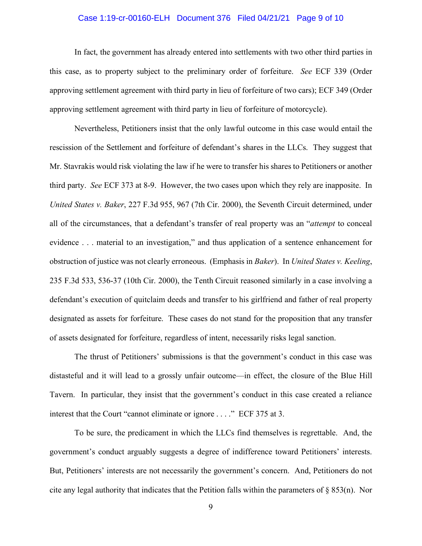## Case 1:19-cr-00160-ELH Document 376 Filed 04/21/21 Page 9 of 10

In fact, the government has already entered into settlements with two other third parties in this case, as to property subject to the preliminary order of forfeiture. *See* ECF 339 (Order approving settlement agreement with third party in lieu of forfeiture of two cars); ECF 349 (Order approving settlement agreement with third party in lieu of forfeiture of motorcycle).

Nevertheless, Petitioners insist that the only lawful outcome in this case would entail the rescission of the Settlement and forfeiture of defendant's shares in the LLCs. They suggest that Mr. Stavrakis would risk violating the law if he were to transfer his shares to Petitioners or another third party. *See* ECF 373 at 8-9. However, the two cases upon which they rely are inapposite. In *United States v. Baker*, 227 F.3d 955, 967 (7th Cir. 2000), the Seventh Circuit determined, under all of the circumstances, that a defendant's transfer of real property was an "*attempt* to conceal evidence . . . material to an investigation," and thus application of a sentence enhancement for obstruction of justice was not clearly erroneous. (Emphasis in *Baker*). In *United States v. Keeling*, 235 F.3d 533, 536-37 (10th Cir. 2000), the Tenth Circuit reasoned similarly in a case involving a defendant's execution of quitclaim deeds and transfer to his girlfriend and father of real property designated as assets for forfeiture. These cases do not stand for the proposition that any transfer of assets designated for forfeiture, regardless of intent, necessarily risks legal sanction.

The thrust of Petitioners' submissions is that the government's conduct in this case was distasteful and it will lead to a grossly unfair outcome—in effect, the closure of the Blue Hill Tavern. In particular, they insist that the government's conduct in this case created a reliance interest that the Court "cannot eliminate or ignore . . . ." ECF 375 at 3.

To be sure, the predicament in which the LLCs find themselves is regrettable. And, the government's conduct arguably suggests a degree of indifference toward Petitioners' interests. But, Petitioners' interests are not necessarily the government's concern. And, Petitioners do not cite any legal authority that indicates that the Petition falls within the parameters of § 853(n). Nor